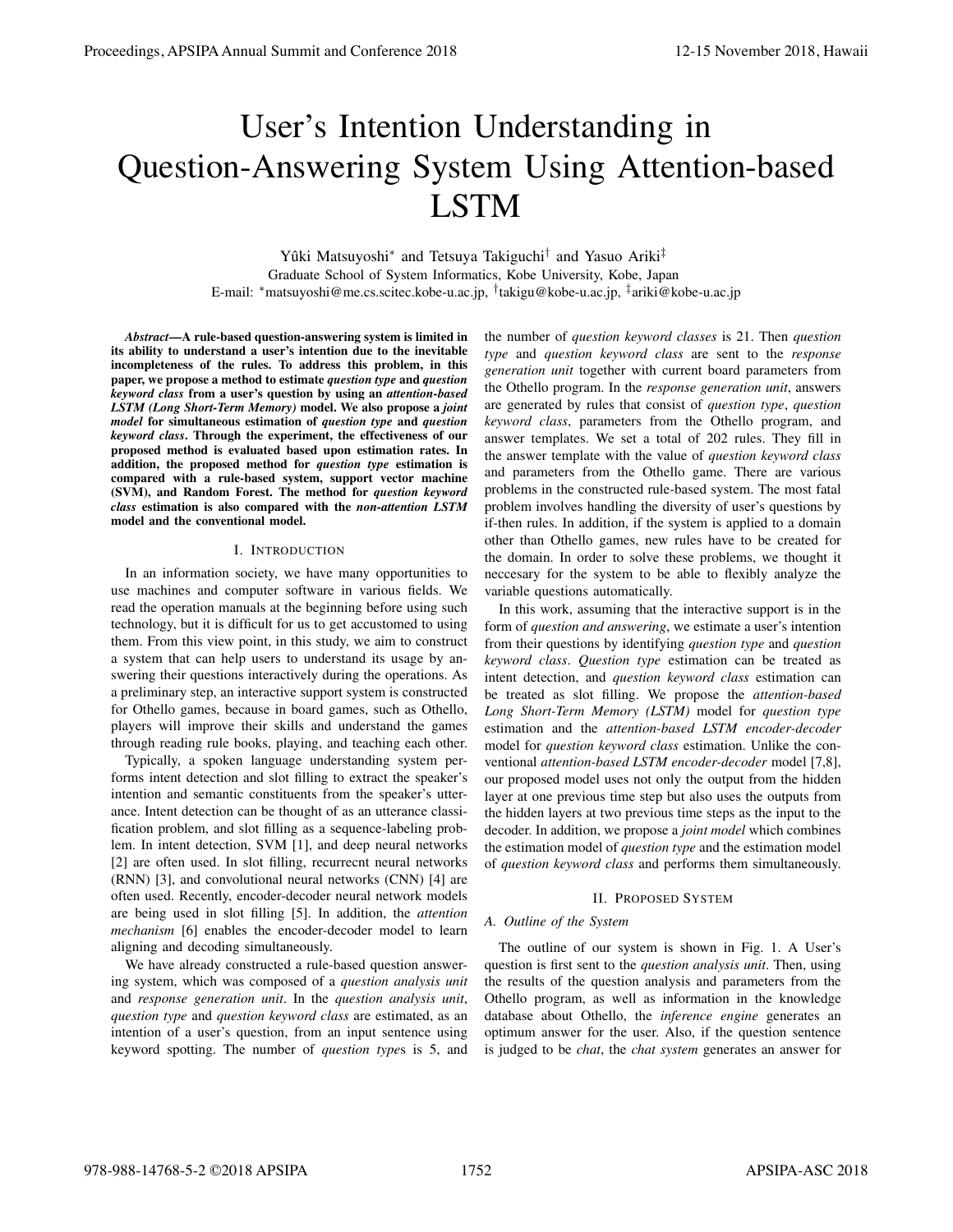# User's Intention Understanding in Question-Answering System Using Attention-based LSTM

Yûki Matsuyoshi<sup>∗</sup> and Tetsuya Takiguchi<sup>†</sup> and Yasuo Ariki<sup>‡</sup> Graduate School of System Informatics, Kobe University, Kobe, Japan E-mail: *∗*matsuyoshi@me.cs.scitec.kobe-u.ac.jp, *†* takigu@kobe-u.ac.jp, *‡*ariki@kobe-u.ac.jp

*Abstract*—A rule-based question-answering system is limited in its ability to understand a user's intention due to the inevitable incompleteness of the rules. To address this problem, in this paper, we propose a method to estimate *question type* and *question keyword class* from a user's question by using an *attention-based LSTM (Long Short-Term Memory)* model. We also propose a *joint model* for simultaneous estimation of *question type* and *question keyword class*. Through the experiment, the effectiveness of our proposed method is evaluated based upon estimation rates. In addition, the proposed method for *question type* estimation is compared with a rule-based system, support vector machine (SVM), and Random Forest. The method for *question keyword class* estimation is also compared with the *non-attention LSTM* model and the conventional model.

## I. INTRODUCTION

In an information society, we have many opportunities to use machines and computer software in various fields. We read the operation manuals at the beginning before using such technology, but it is difficult for us to get accustomed to using them. From this view point, in this study, we aim to construct a system that can help users to understand its usage by answering their questions interactively during the operations. As a preliminary step, an interactive support system is constructed for Othello games, because in board games, such as Othello, players will improve their skills and understand the games through reading rule books, playing, and teaching each other.

Typically, a spoken language understanding system performs intent detection and slot filling to extract the speaker's intention and semantic constituents from the speaker's utterance. Intent detection can be thought of as an utterance classification problem, and slot filling as a sequence-labeling problem. In intent detection, SVM [1], and deep neural networks [2] are often used. In slot filling, recurrecnt neural networks (RNN) [3], and convolutional neural networks (CNN) [4] are often used. Recently, encoder-decoder neural network models are being used in slot filling [5]. In addition, the *attention mechanism* [6] enables the encoder-decoder model to learn aligning and decoding simultaneously.

We have already constructed a rule-based question answering system, which was composed of a *question analysis unit* and *response generation unit*. In the *question analysis unit*, *question type* and *question keyword class* are estimated, as an intention of a user's question, from an input sentence using keyword spotting. The number of *question type*s is 5, and

the number of *question keyword classes* is 21. Then *question type* and *question keyword class* are sent to the *response generation unit* together with current board parameters from the Othello program. In the *response generation unit*, answers are generated by rules that consist of *question type*, *question keyword class*, parameters from the Othello program, and answer templates. We set a total of 202 rules. They fill in the answer template with the value of *question keyword class* and parameters from the Othello game. There are various problems in the constructed rule-based system. The most fatal problem involves handling the diversity of user's questions by if-then rules. In addition, if the system is applied to a domain other than Othello games, new rules have to be created for the domain. In order to solve these problems, we thought it neccesary for the system to be able to flexibly analyze the variable questions automatically.

In this work, assuming that the interactive support is in the form of *question and answering*, we estimate a user's intention from their questions by identifying *question type* and *question keyword class*. *Question type* estimation can be treated as intent detection, and *question keyword class* estimation can be treated as slot filling. We propose the *attention-based Long Short-Term Memory (LSTM)* model for *question type* estimation and the *attention-based LSTM encoder-decoder* model for *question keyword class* estimation. Unlike the conventional *attention-based LSTM encoder-decoder* model [7,8], our proposed model uses not only the output from the hidden layer at one previous time step but also uses the outputs from the hidden layers at two previous time steps as the input to the decoder. In addition, we propose a *joint model* which combines the estimation model of *question type* and the estimation model of *question keyword class* and performs them simultaneously.

## II. PROPOSED SYSTEM

# *A. Outline of the System*

The outline of our system is shown in Fig. 1. A User's question is first sent to the *question analysis unit*. Then, using the results of the question analysis and parameters from the Othello program, as well as information in the knowledge database about Othello, the *inference engine* generates an optimum answer for the user. Also, if the question sentence is judged to be *chat*, the *chat system* generates an answer for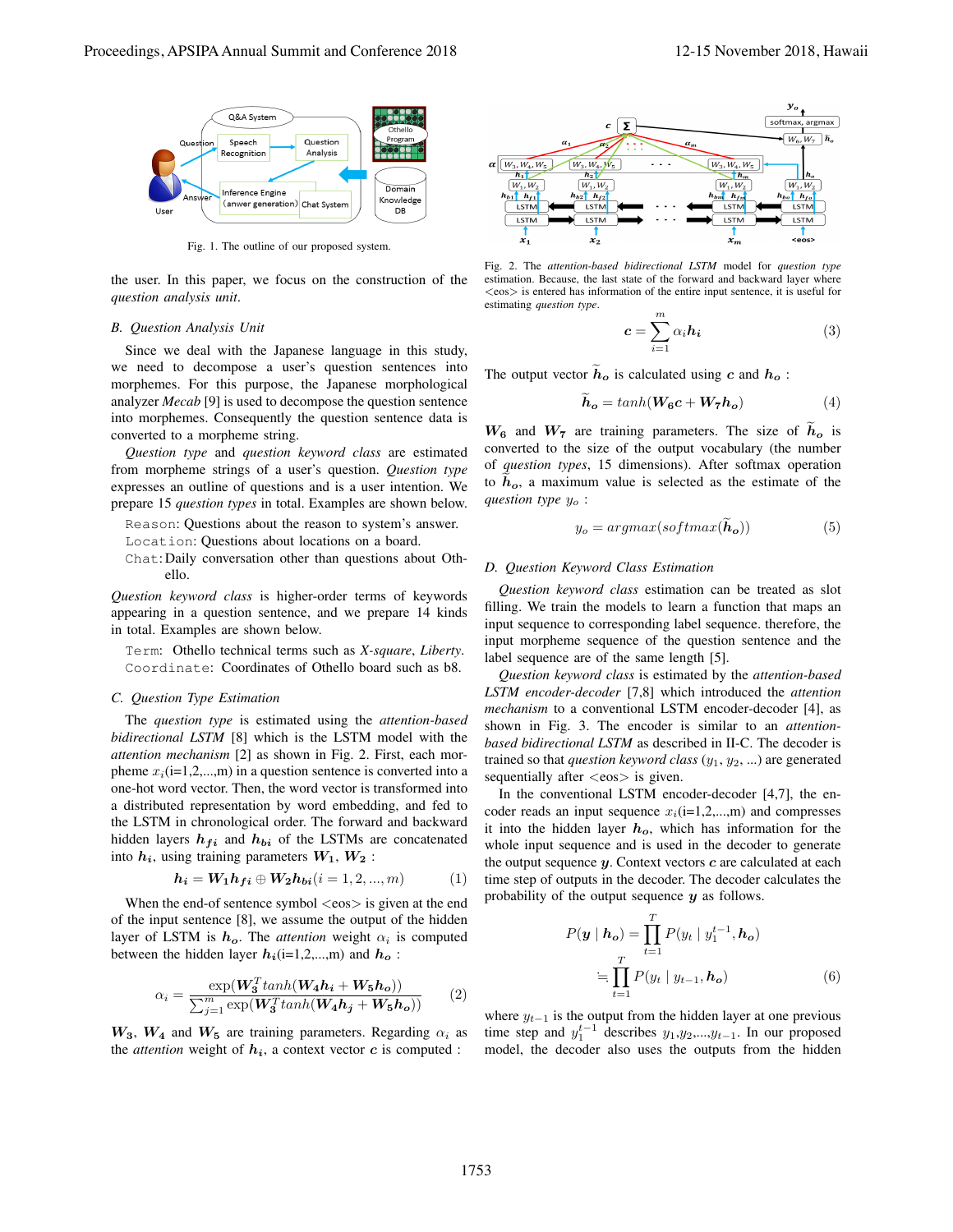

Fig. 1. The outline of our proposed system.

the user. In this paper, we focus on the construction of the *question analysis unit*.

## *B. Question Analysis Unit*

Since we deal with the Japanese language in this study, we need to decompose a user's question sentences into morphemes. For this purpose, the Japanese morphological analyzer *Mecab* [9] is used to decompose the question sentence into morphemes. Consequently the question sentence data is converted to a morpheme string.

*Question type* and *question keyword class* are estimated from morpheme strings of a user's question. *Question type* expresses an outline of questions and is a user intention. We prepare 15 *question types* in total. Examples are shown below.

Reason: Questions about the reason to system's answer.

- Location: Questions about locations on a board.
- Chat:Daily conversation other than questions about Othello.

*Question keyword class* is higher-order terms of keywords appearing in a question sentence, and we prepare 14 kinds in total. Examples are shown below.

Term: Othello technical terms such as *X-square*, *Liberty*. Coordinate: Coordinates of Othello board such as b8.

### *C. Question Type Estimation*

The *question type* is estimated using the *attention-based bidirectional LSTM* [8] which is the LSTM model with the *attention mechanism* [2] as shown in Fig. 2. First, each morpheme  $x_i$ (i=1,2,...,m) in a question sentence is converted into a one-hot word vector. Then, the word vector is transformed into a distributed representation by word embedding, and fed to the LSTM in chronological order. The forward and backward hidden layers  $h_{fi}$  and  $h_{bi}$  of the LSTMs are concatenated into  $h_i$ , using training parameters  $W_1, W_2$ :

$$
h_i = W_1 h_{fi} \oplus W_2 h_{bi} (i = 1, 2, ..., m)
$$
 (1)

When the end-of sentence symbol *<*eos*>* is given at the end of the input sentence [8], we assume the output of the hidden layer of LSTM is  $h_o$ . The *attention* weight  $\alpha_i$  is computed between the hidden layer  $h_i$ (i=1,2,...,m) and  $h_o$ :

$$
\alpha_i = \frac{\exp(\mathbf{W}_3^T \tanh(\mathbf{W}_4 \mathbf{h}_i + \mathbf{W}_5 \mathbf{h}_o))}{\sum_{j=1}^m \exp(\mathbf{W}_3^T \tanh(\mathbf{W}_4 \mathbf{h}_j + \mathbf{W}_5 \mathbf{h}_o))}
$$
(2)

 $W_3$ ,  $W_4$  and  $W_5$  are training parameters. Regarding  $\alpha_i$  as the *attention* weight of  $h_i$ , a context vector  $c$  is computed :



Fig. 2. The *attention-based bidirectional LSTM* model for *question type* estimation. Because, the last state of the forward and backward layer where *<*eos*>* is entered has information of the entire input sentence, it is useful for estimating *question type*.

$$
c = \sum_{i=1}^{m} \alpha_i h_i \tag{3}
$$

The output vector  $h_o$  is calculated using *c* and  $h_o$ :

$$
h_o = tanh(W_6c + W_7h_o)
$$
 (4)

 $W_6$  and  $W_7$  are training parameters. The size of  $h_0$  is converted to the size of the output vocabulary (the number of *question types*, 15 dimensions). After softmax operation to  $h<sub>o</sub>$ , a maximum value is selected as the estimate of the *question type y<sup>o</sup>* :

$$
y_o = argmax(softmax(\mathbf{h_o}))
$$
 (5)

## *D. Question Keyword Class Estimation*

*Question keyword class* estimation can be treated as slot filling. We train the models to learn a function that maps an input sequence to corresponding label sequence. therefore, the input morpheme sequence of the question sentence and the label sequence are of the same length [5].

*Question keyword class* is estimated by the *attention-based LSTM encoder-decoder* [7,8] which introduced the *attention mechanism* to a conventional LSTM encoder-decoder [4], as shown in Fig. 3. The encoder is similar to an *attentionbased bidirectional LSTM* as described in II-C. The decoder is trained so that *question keyword class* (*y*1, *y*2, ...) are generated sequentially after *<*eos*>* is given.

In the conventional LSTM encoder-decoder [4,7], the encoder reads an input sequence  $x_i$ (i=1,2,...,m) and compresses it into the hidden layer *ho*, which has information for the whole input sequence and is used in the decoder to generate the output sequence *y*. Context vectors *c* are calculated at each time step of outputs in the decoder. The decoder calculates the probability of the output sequence *y* as follows.

$$
P(\mathbf{y} \mid \mathbf{h_o}) = \prod_{t=1}^{T} P(y_t \mid y_1^{t-1}, \mathbf{h_o})
$$

$$
= \prod_{t=1}^{T} P(y_t \mid y_{t-1}, \mathbf{h_o})
$$
(6)

where  $y_{t-1}$  is the output from the hidden layer at one previous time step and  $y_1^{t-1}$  describes  $y_1, y_2, \ldots, y_{t-1}$ . In our proposed model, the decoder also uses the outputs from the hidden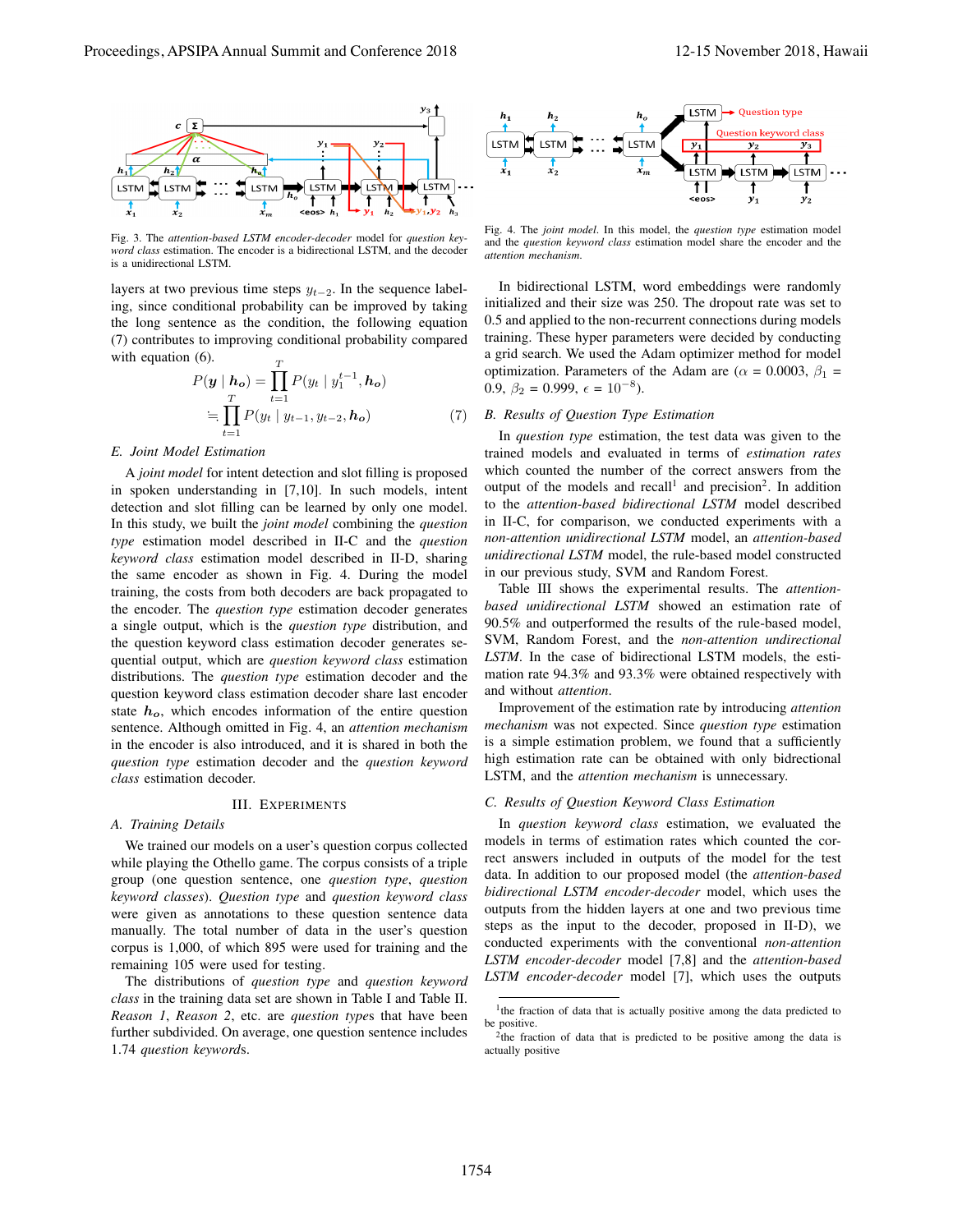

Fig. 3. The *attention-based LSTM encoder-decoder* model for *question keyword class* estimation. The encoder is a bidirectional LSTM, and the decoder is a unidirectional LSTM.

layers at two previous time steps *yt−*2. In the sequence labeling, since conditional probability can be improved by taking the long sentence as the condition, the following equation (7) contributes to improving conditional probability compared with equation  $(6)$ .

$$
P(\mathbf{y} \mid \mathbf{h_o}) = \prod_{t=1}^{T} P(y_t \mid y_1^{t-1}, \mathbf{h_o})
$$

$$
\equiv \prod_{t=1}^{T} P(y_t \mid y_{t-1}, y_{t-2}, \mathbf{h_o}) \tag{7}
$$

## *E. Joint Model Estimation*

A *joint model* for intent detection and slot filling is proposed in spoken understanding in [7,10]. In such models, intent detection and slot filling can be learned by only one model. In this study, we built the *joint model* combining the *question type* estimation model described in II-C and the *question keyword class* estimation model described in II-D, sharing the same encoder as shown in Fig. 4. During the model training, the costs from both decoders are back propagated to the encoder. The *question type* estimation decoder generates a single output, which is the *question type* distribution, and the question keyword class estimation decoder generates sequential output, which are *question keyword class* estimation distributions. The *question type* estimation decoder and the question keyword class estimation decoder share last encoder state  $h<sub>o</sub>$ , which encodes information of the entire question sentence. Although omitted in Fig. 4, an *attention mechanism* in the encoder is also introduced, and it is shared in both the *question type* estimation decoder and the *question keyword class* estimation decoder.

#### III. EXPERIMENTS

#### *A. Training Details*

We trained our models on a user's question corpus collected while playing the Othello game. The corpus consists of a triple group (one question sentence, one *question type*, *question keyword classes*). *Question type* and *question keyword class* were given as annotations to these question sentence data manually. The total number of data in the user's question corpus is 1,000, of which 895 were used for training and the remaining 105 were used for testing.

The distributions of *question type* and *question keyword class* in the training data set are shown in Table I and Table II. *Reason 1*, *Reason 2*, etc. are *question type*s that have been further subdivided. On average, one question sentence includes 1.74 *question keyword*s.





Fig. 4. The *joint model*. In this model, the *question type* estimation model and the *question keyword class* estimation model share the encoder and the *attention mechanism*.

In bidirectional LSTM, word embeddings were randomly initialized and their size was 250. The dropout rate was set to 0.5 and applied to the non-recurrent connections during models training. These hyper parameters were decided by conducting a grid search. We used the Adam optimizer method for model optimization. Parameters of the Adam are ( $\alpha$  = 0.0003,  $\beta_1$  = 0.9,  $\beta_2 = 0.999$ ,  $\epsilon = 10^{-8}$ ).

## *B. Results of Question Type Estimation*

In *question type* estimation, the test data was given to the trained models and evaluated in terms of *estimation rates* which counted the number of the correct answers from the output of the models and recall<sup>1</sup> and precision<sup>2</sup>. In addition to the *attention-based bidirectional LSTM* model described in II-C, for comparison, we conducted experiments with a *non-attention unidirectional LSTM* model, an *attention-based unidirectional LSTM* model, the rule-based model constructed in our previous study, SVM and Random Forest.

Table III shows the experimental results. The *attentionbased unidirectional LSTM* showed an estimation rate of 90.5% and outperformed the results of the rule-based model, SVM, Random Forest, and the *non-attention undirectional LSTM*. In the case of bidirectional LSTM models, the estimation rate 94.3% and 93.3% were obtained respectively with and without *attention*.

Improvement of the estimation rate by introducing *attention mechanism* was not expected. Since *question type* estimation is a simple estimation problem, we found that a sufficiently high estimation rate can be obtained with only bidrectional LSTM, and the *attention mechanism* is unnecessary.

## *C. Results of Question Keyword Class Estimation*

In *question keyword class* estimation, we evaluated the models in terms of estimation rates which counted the correct answers included in outputs of the model for the test data. In addition to our proposed model (the *attention-based bidirectional LSTM encoder-decoder* model, which uses the outputs from the hidden layers at one and two previous time steps as the input to the decoder, proposed in II-D), we conducted experiments with the conventional *non-attention LSTM encoder-decoder* model [7,8] and the *attention-based LSTM encoder-decoder* model [7], which uses the outputs

<sup>&</sup>lt;sup>1</sup>the fraction of data that is actually positive among the data predicted to be positive.

<sup>&</sup>lt;sup>2</sup>the fraction of data that is predicted to be positive among the data is actually positive